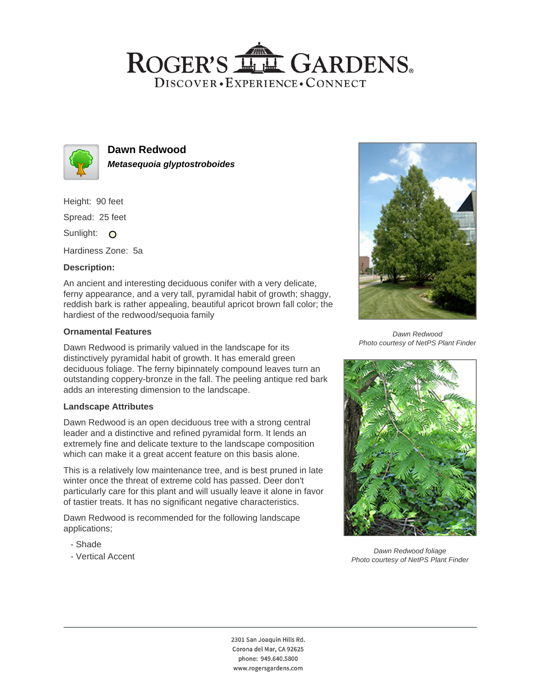## ROGER'S LL GARDENS. DISCOVER · EXPERIENCE · CONNECT



**Dawn Redwood Metasequoia glyptostroboides**

Height: 90 feet

Spread: 25 feet

Sunlight: O

Hardiness Zone: 5a

### **Description:**

An ancient and interesting deciduous conifer with a very delicate, ferny appearance, and a very tall, pyramidal habit of growth; shaggy, reddish bark is rather appealing, beautiful apricot brown fall color; the hardiest of the redwood/sequoia family

#### **Ornamental Features**

Dawn Redwood is primarily valued in the landscape for its distinctively pyramidal habit of growth. It has emerald green deciduous foliage. The ferny bipinnately compound leaves turn an outstanding coppery-bronze in the fall. The peeling antique red bark adds an interesting dimension to the landscape.

#### **Landscape Attributes**

Dawn Redwood is an open deciduous tree with a strong central leader and a distinctive and refined pyramidal form. It lends an extremely fine and delicate texture to the landscape composition which can make it a great accent feature on this basis alone.

This is a relatively low maintenance tree, and is best pruned in late winter once the threat of extreme cold has passed. Deer don't particularly care for this plant and will usually leave it alone in favor of tastier treats. It has no significant negative characteristics.

Dawn Redwood is recommended for the following landscape applications;

- Shade
- Vertical Accent



Dawn Redwood Photo courtesy of NetPS Plant Finder



Dawn Redwood foliage Photo courtesy of NetPS Plant Finder

2301 San Joaquin Hills Rd. Corona del Mar, CA 92625 phone: 949.640.5800 www.rogersgardens.com